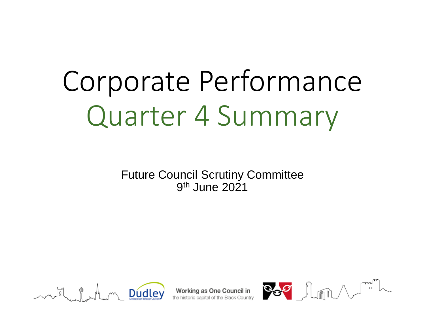# Corporate Performance Quarter 4 Summary

Future Council Scrutiny Committee 9th June 2021



 $\mathcal{M}_{\text{interpolation} \text{ Borel}}$   $\bigcup_{\text{Morelation} \text{ Borel}}$   $\bigcup_{\text{Coneal} \text{ Cone}}$   $\bigcup_{\text{Coneal} \text{ Cone}}$   $\bigcup_{\text{Coneal} \text{ Done} \text{ Done} \text{ Cone} }$ 

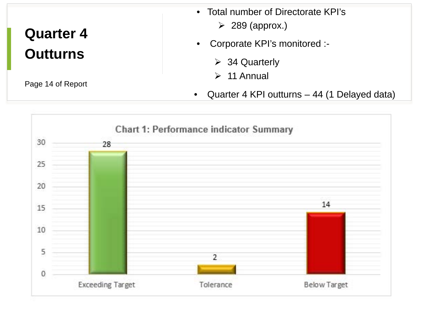# **Quarter 4 Outturns**

Page 14 of Report

- Total number of Directorate KPI's
	- $\geq$  289 (approx.)
- Corporate KPI's monitored :-
	- **▶ 34 Quarterly**
	-
- 11 Annual Quarter 4 KPI outturns 44 (1 Delayed data)

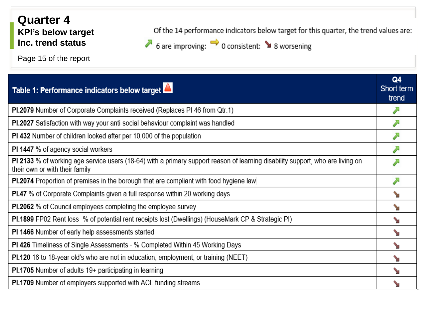#### **Quarter 4 KPI's below target Inc. trend status**

Page 15 of the report

Of the 14 performance indicators below target for this quarter, the trend values are:

♪ 6 are improving: → 0 consistent: ▲ 8 worsening

| Table 1: Performance indicators below target                                                                                                                     | Q4<br>Short term<br>trend |
|------------------------------------------------------------------------------------------------------------------------------------------------------------------|---------------------------|
| PI.2079 Number of Corporate Complaints received (Replaces PI 46 from Qtr.1)                                                                                      |                           |
| PI.2027 Satisfaction with way your anti-social behaviour complaint was handled                                                                                   |                           |
| PI 432 Number of children looked after per 10,000 of the population                                                                                              |                           |
| <b>PI 1447</b> % of agency social workers                                                                                                                        |                           |
| PI 2133 % of working age service users (18-64) with a primary support reason of learning disability support, who are living on<br>their own or with their family |                           |
| <b>PI.2074</b> Proportion of premises in the borough that are compliant with food hygiene law                                                                    |                           |
| <b>PI.47</b> % of Corporate Complaints given a full response within 20 working days                                                                              |                           |
| <b>PI.2062</b> % of Council employees completing the employee survey                                                                                             |                           |
| <b>PI.1899</b> FP02 Rent loss- % of potential rent receipts lost (Dwellings) (HouseMark CP & Strategic PI)                                                       |                           |
| PI 1466 Number of early help assessments started                                                                                                                 |                           |
| <b>PI 426</b> Timeliness of Single Assessments - % Completed Within 45 Working Days                                                                              |                           |
| <b>PI.120</b> 16 to 18-year old's who are not in education, employment, or training (NEET)                                                                       |                           |
| PI.1705 Number of adults 19+ participating in learning                                                                                                           |                           |
| <b>PI.1709</b> Number of employers supported with ACL funding streams                                                                                            |                           |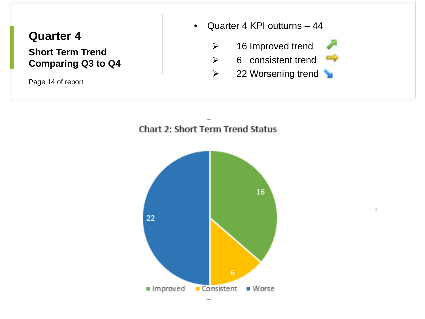### **Quarter 4 Short Term Trend Comparing Q3 to Q4**

Page 14 of report

• Quarter 4 KPI outturns – 44

 $\triangleright$  16 Improved trend

- $\triangleright$  6 consistent trend
- $\triangleright$  22 Worsening trend



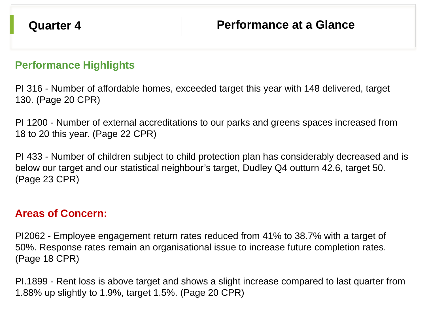#### **Performance Highlights**

PI 316 - Number of affordable homes, exceeded target this year with 148 delivered, target 130. (Page 20 CPR)

PI 1200 - Number of external accreditations to our parks and greens spaces increased from 18 to 20 this year. (Page 22 CPR)

PI 433 - Number of children subject to child protection plan has considerably decreased and is below our target and our statistical neighbour's target, Dudley Q4 outturn 42.6, target 50. (Page 23 CPR)

#### **Areas of Concern:**

PI2062 - Employee engagement return rates reduced from 41% to 38.7% with a target of 50%. Response rates remain an organisational issue to increase future completion rates. (Page 18 CPR)

PI.1899 - Rent loss is above target and shows a slight increase compared to last quarter from 1.88% up slightly to 1.9%, target 1.5%. (Page 20 CPR)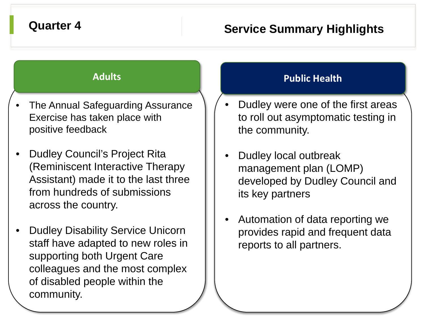## **Quarter 4 Service Summary Highlights**

- The Annual Safeguarding Assurance Exercise has taken place with positive feedback
- Dudley Council's Project Rita (Reminiscent Interactive Therapy Assistant) made it to the last three from hundreds of submissions across the country.
- Dudley Disability Service Unicorn staff have adapted to new roles in supporting both Urgent Care colleagues and the most complex of disabled people within the community.

### **Adults Public Health**

- Dudley were one of the first areas to roll out asymptomatic testing in the community.
- Dudley local outbreak management plan (LOMP) developed by Dudley Council and its key partners
- Automation of data reporting we provides rapid and frequent data reports to all partners.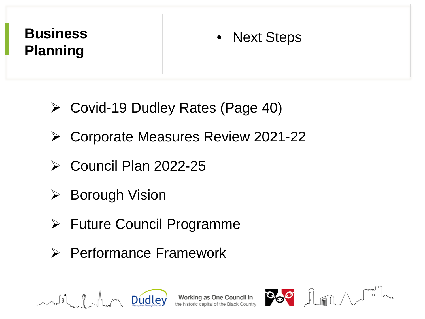# **Business Planning**

# • Next Steps

- Covid-19 Dudley Rates (Page 40)
- Corporate Measures Review 2021-22
- $\triangleright$  Council Plan 2022-25
- $\triangleright$  Borough Vision
- Future Council Programme
- **► Performance Framework**